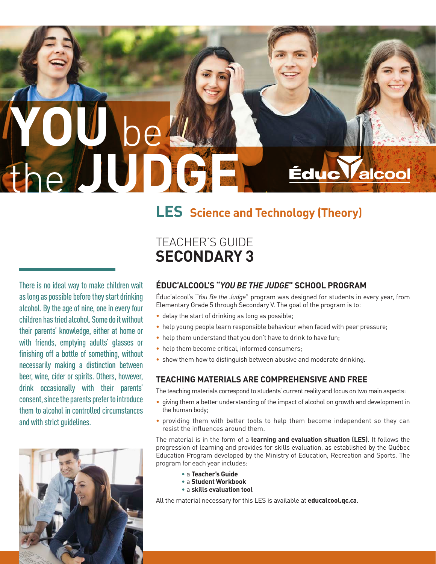# **YOU** be the **JUDGE**

## **LES Science and Technology (Theory)**

There is no ideal way to make children wait as long as possible before they start drinking alcohol. By the age of nine, one in every four children has tried alcohol. Some do it without their parents' knowledge, either at home or with friends, emptying adults' glasses or finishing off a bottle of something, without necessarily making a distinction between beer, wine, cider or spirits. Others, however, drink occasionally with their parents' consent, since the parents prefer to introduce them to alcohol in controlled circumstances and with strict guidelines.



## TEACHER'S GUIDE **SECONDARY 3**

#### **ÉDUC'ALCOOL'S "***YOU BE THE JUDGE***" SCHOOL PROGRAM**

Éduc'alcool's "*You Be the Judge*" program was designed for students in every year, from Elementary Grade 5 through Secondary V. The goal of the program is to:

Éduc

- delay the start of drinking as long as possible;
- help young people learn responsible behaviour when faced with peer pressure;
- help them understand that you don't have to drink to have fun;
- help them become critical, informed consumers;
- show them how to distinguish between abusive and moderate drinking.

#### **TEACHING MATERIALS ARE COMPREHENSIVE AND FREE**

The teaching materials correspond to students' current reality and focus on two main aspects:

- giving them a better understanding of the impact of alcohol on growth and development in the human body;
- providing them with better tools to help them become independent so they can resist the influences around them.

The material is in the form of a **learning and evaluation situation (LES)**. It follows the progression of learning and provides for skills evaluation, as established by the Québec Education Program developed by the Ministry of Education, Recreation and Sports. The program for each year includes:

- a **Teacher's Guide**
- a **Student Workbook**
- a **skills evaluation tool**

All the material necessary for this LES is available at **educalcool.qc.ca**.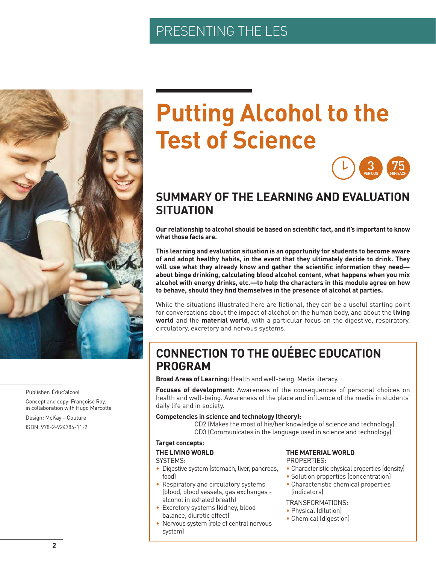## PRESENTING THE LES



Publisher: Éduc'alcool

Concept and copy: Françoise Roy, in collaboration with Hugo Marcotte

Design: McKay + Couture ISBN: 978-2-924784-11-2

## **Putting Alcohol to the Test of Science**



## **SUMMARY OF THE LEARNING AND EVALUATION SITUATION**

**Our relationship to alcohol should be based on scientific fact, and it's important to know what those facts are.** 

**This learning and evaluation situation is an opportunity for students to become aware of and adopt healthy habits, in the event that they ultimately decide to drink. They will use what they already know and gather the scientific information they need about binge drinking, calculating blood alcohol content, what happens when you mix alcohol with energy drinks, etc.—to help the characters in this module agree on how to behave, should they find themselves in the presence of alcohol at parties.**

While the situations illustrated here are fictional, they can be a useful starting point for conversations about the impact of alcohol on the human body, and about the **living world** and the **material world**, with a particular focus on the digestive, respiratory, circulatory, excretory and nervous systems.

## **CONNECTION TO THE QUÉBEC EDUCATION PROGRAM**

**Broad Areas of Learning:** Health and well-being. Media literacy.

**Focuses of development:** Awareness of the consequences of personal choices on health and well-being. Awareness of the place and influence of the media in students' daily life and in society.

#### **Competencies in science and technology (theory):**

CD2 (Makes the most of his/her knowledge of science and technology). CD3 (Communicates in the language used in science and technology).

#### **Target concepts:**

#### **THE LIVING WORLD**

#### SYSTEMS:

- Digestive system (stomach, liver, pancreas, food)
- Respiratory and circulatory systems (blood, blood vessels, gas exchanges alcohol in exhaled breath)
- Excretory systems (kidney, blood balance, diuretic effect)
- Nervous system (role of central nervous system)

#### **THE MATERIAL WORLD**

PROPERTIES:

- Characteristic physical properties (density)
- Solution properties (concentration)
- Characteristic chemical properties (indicators)

#### TRANSFORMATIONS:

- Physical (dilution)
- Chemical (digestion)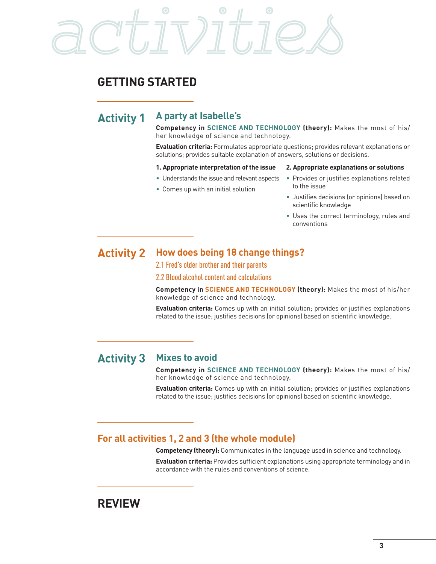# activities

## **GETTING STARTED**

## **Activity 1 A party at Isabelle's**

**Competency in SCIENCE AND TECHNOLOGY (theory):** Makes the most of his/ her knowledge of science and technology.

**Evaluation criteria:** Formulates appropriate questions; provides relevant explanations or solutions; provides suitable explanation of answers, solutions or decisions.

#### **1. Appropriate interpretation of the issue**

- Understands the issue and relevant aspects
- Comes up with an initial solution

#### **2. Appropriate explanations or solutions**

- Provides or justifies explanations related to the issue
- Justifies decisions (or opinions) based on scientific knowledge
- Uses the correct terminology, rules and conventions

#### **Activity 2 How does being 18 change things?**

2.1 Fred's older brother and their parents

2.2 Blood alcohol content and calculations

**Competency in SCIENCE AND TECHNOLOGY (theory):** Makes the most of his/her knowledge of science and technology.

**Evaluation criteria:** Comes up with an initial solution; provides or justifies explanations related to the issue; justifies decisions (or opinions) based on scientific knowledge.

### **Activity 3 Mixes to avoid**

**Competency in SCIENCE AND TECHNOLOGY (theory):** Makes the most of his/ her knowledge of science and technology.

**Evaluation criteria:** Comes up with an initial solution; provides or justifies explanations related to the issue; justifies decisions (or opinions) based on scientific knowledge.

#### **For all activities 1, 2 and 3 (the whole module)**

**Competency (theory):** Communicates in the language used in science and technology.

**Evaluation criteria:** Provides sufficient explanations using appropriate terminology and in accordance with the rules and conventions of science.

## **REVIEW**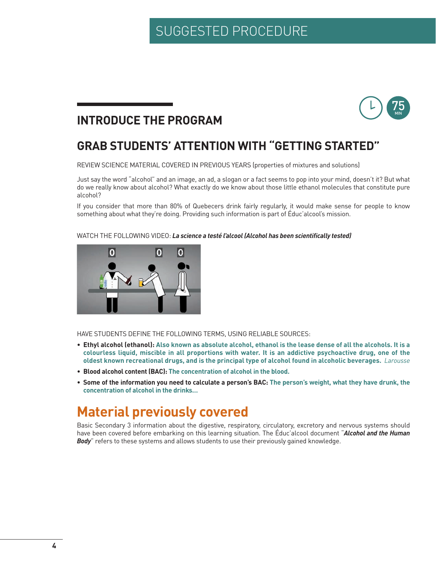## SUGGESTED PROCEDURE

## 75 MIN

## **INTRODUCE THE PROGRAM**

## **GRAB STUDENTS' ATTENTION WITH "GETTING STARTED"**

REVIEW SCIENCE MATERIAL COVERED IN PREVIOUS YEARS (properties of mixtures and solutions)

Just say the word "alcohol" and an image, an ad, a slogan or a fact seems to pop into your mind, doesn't it? But what do we really know about alcohol? What exactly do we know about those little ethanol molecules that constitute pure alcohol?

If you consider that more than 80% of Quebecers drink fairly regularly, it would make sense for people to know something about what they're doing. Providing such information is part of Éduc'alcool's mission.

#### WATCH THE FOLLOWING VIDEO: *La science a testé l'alcool (Alcohol has been scientifically tested)*



HAVE STUDENTS DEFINE THE FOLLOWING TERMS, USING RELIABLE SOURCES:

- **Ethyl alcohol (ethanol): Also known as absolute alcohol, ethanol is the lease dense of all the alcohols. It is a colourless liquid, miscible in all proportions with water. It is an addictive psychoactive drug, one of the oldest known recreational drugs, and is the principal type of alcohol found in alcoholic beverages.** *Larousse*
- **Blood alcohol content (BAC): The concentration of alcohol in the blood.**
- **Some of the information you need to calculate a person's BAC: The person's weight, what they have drunk, the concentration of alcohol in the drinks…**

## **Material previously covered**

Basic Secondary 3 information about the digestive, respiratory, circulatory, excretory and nervous systems should have been covered before embarking on this learning situation. The Éduc'alcool document "*Alcohol and the Human*  **Body**" refers to these systems and allows students to use their previously gained knowledge.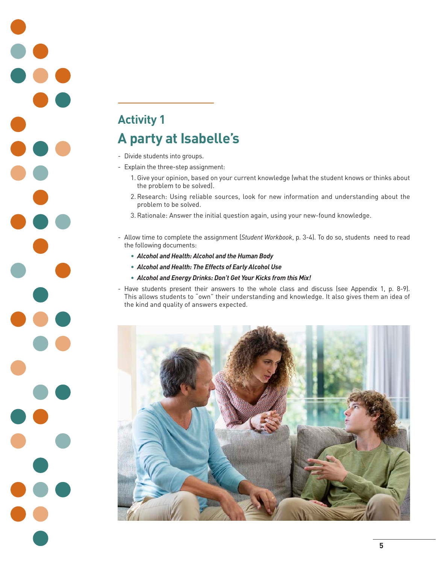## **Activity 1 A party at Isabelle's**

- Divide students into groups.

- Explain the three-step assignment:
	- 1.Give your opinion, based on your current knowledge (what the student knows or thinks about the problem to be solved).
	- 2.Research: Using reliable sources, look for new information and understanding about the problem to be solved.
	- 3.Rationale: Answer the initial question again, using your new-found knowledge.
- Allow time to complete the assignment (*Student Workbook*, p. 3-4). To do so, students need to read the following documents:
	- *Alcohol and Health: Alcohol and the Human Body*
	- *Alcohol and Health: The Effects of Early Alcohol Use*
	- *Alcohol and Energy Drinks: Don't Get Your Kicks from this Mix!*
- Have students present their answers to the whole class and discuss (see Appendix 1, p. 8-9). This allows students to "own" their understanding and knowledge. It also gives them an idea of the kind and quality of answers expected.

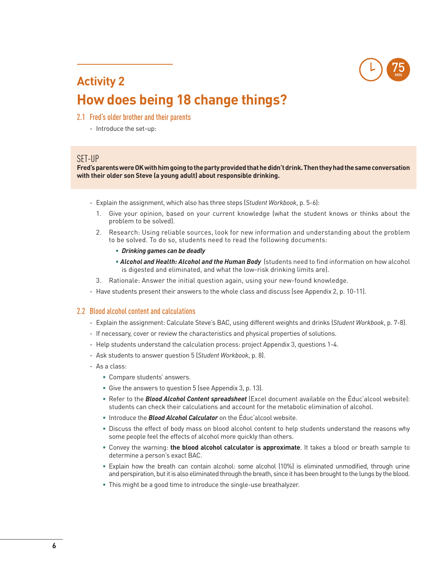

## **Activity 2 How does being 18 change things?**

- 2.1 Fred's older brother and their parents
	- Introduce the set-up:

#### SET-UP

**Fred's parents were OK with him going to the party provided that he didn't drink. Then they had the same conversation with their older son Steve (a young adult) about responsible drinking.**

- Explain the assignment, which also has three steps (*Student Workbook*, p. 5-6):
	- 1. Give your opinion, based on your current knowledge (what the student knows or thinks about the problem to be solved).
	- 2. Research: Using reliable sources, look for new information and understanding about the problem to be solved. To do so, students need to read the following documents:
		- *Drinking games can be deadly*
		- *Alcohol and Health: Alcohol and the Human Body* (students need to find information on how alcohol is digested and eliminated, and what the low-risk drinking limits are).
	- 3. Rationale: Answer the initial question again, using your new-found knowledge.
- Have students present their answers to the whole class and discuss (see Appendix 2, p. 10-11).

#### 2.2 Blood alcohol content and calculations

- Explain the assignment: Calculate Steve's BAC, using different weights and drinks (*Student Workbook*, p. 7-8).
- If necessary, cover or review the characteristics and physical properties of solutions.
- Help students understand the calculation process: project Appendix 3, questions 1-4.
- Ask students to answer question 5 (*Student Workbook*, p. 8).
- As a class:
	- Compare students' answers.
	- Give the answers to question 5 (see Appendix 3, p. 13).
	- Refer to the *Blood Alcohol Content spreadsheet* (Excel document available on the Éduc'alcool website): students can check their calculations and account for the metabolic elimination of alcohol.
	- Introduce the *Blood Alcohol Calculator* on the Éduc'alcool website.
	- Discuss the effect of body mass on blood alcohol content to help students understand the reasons why some people feel the effects of alcohol more quickly than others.
	- Convey the warning: **the blood alcohol calculator is approximate**. It takes a blood or breath sample to determine a person's exact BAC.
	- Explain how the breath can contain alcohol: some alcohol (10%) is eliminated unmodified, through urine and perspiration, but it is also eliminated through the breath, since it has been brought to the lungs by the blood.
	- This might be a good time to introduce the single-use breathalyzer.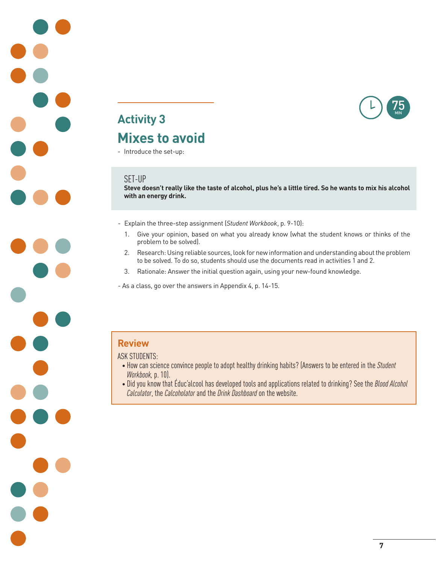

## **Activity 3 Mixes to avoid**

- Introduce the set-up:

#### SET-UP

**Steve doesn't really like the taste of alcohol, plus he's a little tired. So he wants to mix his alcohol with an energy drink.**

- Explain the three-step assignment (*Student Workbook*, p. 9-10):
	- 1. Give your opinion, based on what you already know (what the student knows or thinks of the problem to be solved).
	- 2. Research: Using reliable sources, look for new information and understanding about the problem to be solved. To do so, students should use the documents read in activities 1 and 2.
	- 3. Rationale: Answer the initial question again, using your new-found knowledge.

- As a class, go over the answers in Appendix 4, p. 14-15.

#### **Review**

#### ASK STUDENTS:

- How can science convince people to adopt healthy drinking habits? (Answers to be entered in the *Student Workbook,* p. 10).
- Did you know that Éduc'alcool has developed tools and applications related to drinking? See the *Blood Alcohol Calculator*, the *Calcoholator* and the *Drink Dashboard* on the website.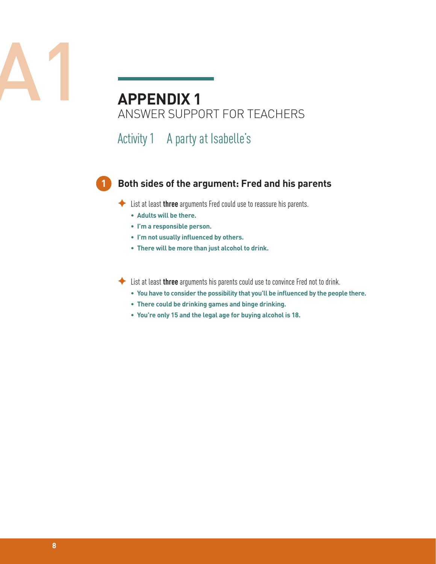|--|--|--|--|--|--|

## **APPENDIX 1** ANSWER SUPPORT FOR TEACHERS

Activity 1 A party at Isabelle's

#### **Both sides of the argument: Fred and his parents**

◆ List at least **three** arguments Fred could use to reassure his parents.

 **• Adults will be there.** 

**1**

- **• I'm a responsible person.**
- **• I'm not usually influenced by others.**
- **• There will be more than just alcohol to drink.**

First at least **three** arguments his parents could use to convince Fred not to drink.

- **• You have to consider the possibility that you'll be influenced by the people there.**
- **• There could be drinking games and binge drinking.**
- **• You're only 15 and the legal age for buying alcohol is 18.**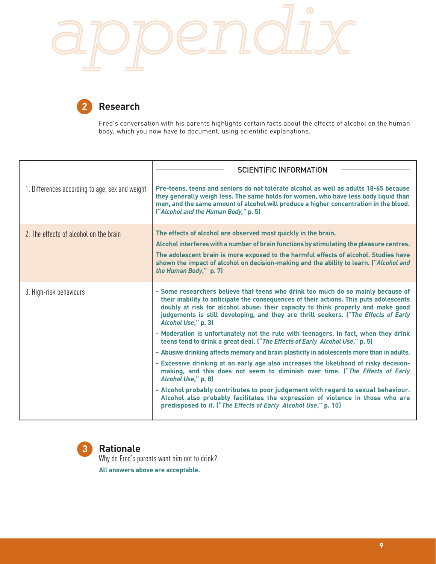



Fred's conversation with his parents highlights certain facts about the effects of alcohol on the human body, which you now have to document, using scientific explanations.

|                                                 | <b>SCIENTIFIC INFORMATION</b>                                                                                                                                                                                                                                                                                                                                                                                                                                                                                                                                                                                                                                                                                                                                                                                                                                                                                                                                                                                                                                                             |
|-------------------------------------------------|-------------------------------------------------------------------------------------------------------------------------------------------------------------------------------------------------------------------------------------------------------------------------------------------------------------------------------------------------------------------------------------------------------------------------------------------------------------------------------------------------------------------------------------------------------------------------------------------------------------------------------------------------------------------------------------------------------------------------------------------------------------------------------------------------------------------------------------------------------------------------------------------------------------------------------------------------------------------------------------------------------------------------------------------------------------------------------------------|
| 1. Differences according to age, sex and weight | Pre-teens, teens and seniors do not tolerate alcohol as well as adults 18-65 because<br>they generally weigh less. The same holds for women, who have less body liquid than<br>men, and the same amount of alcohol will produce a higher concentration in the blood.<br>("Alcohol and the Human Body," p. 5)                                                                                                                                                                                                                                                                                                                                                                                                                                                                                                                                                                                                                                                                                                                                                                              |
| 2. The effects of alcohol on the brain          | The effects of alcohol are observed most quickly in the brain.<br>Alcohol interferes with a number of brain functions by stimulating the pleasure centres.<br>The adolescent brain is more exposed to the harmful effects of alcohol. Studies have<br>shown the impact of alcohol on decision-making and the ability to learn. ("Alcohol and<br>the Human Body," p. 7)                                                                                                                                                                                                                                                                                                                                                                                                                                                                                                                                                                                                                                                                                                                    |
| 3. High-risk behaviours                         | - Some researchers believe that teens who drink too much do so mainly because of<br>their inability to anticipate the consequences of their actions. This puts adolescents<br>doubly at risk for alcohol abuse: their capacity to think properly and make good<br>judgements is still developing, and they are thrill seekers. ("The Effects of Early<br>Alcohol Use," p. 3)<br>- Moderation is unfortunately not the rule with teenagers. In fact, when they drink<br>teens tend to drink a great deal. ("The Effects of Early Alcohol Use," p. 5)<br>- Abusive drinking affects memory and brain plasticity in adolescents more than in adults.<br>- Excessive drinking at an early age also increases the likelihood of risky decision-<br>making, and this does not seem to diminish over time. ("The Effects of Early<br>Alcohol Use," p. 8)<br>- Alcohol probably contributes to poor judgement with regard to sexual behaviour.<br>Alcohol also probably facilitates the expression of violence in those who are<br>predisposed to it. ("The Effects of Early Alcohol Use," p. 10) |

**3**

### **Rationale**

Why do Fred's parents want him not to drink?

**All answers above are acceptable.**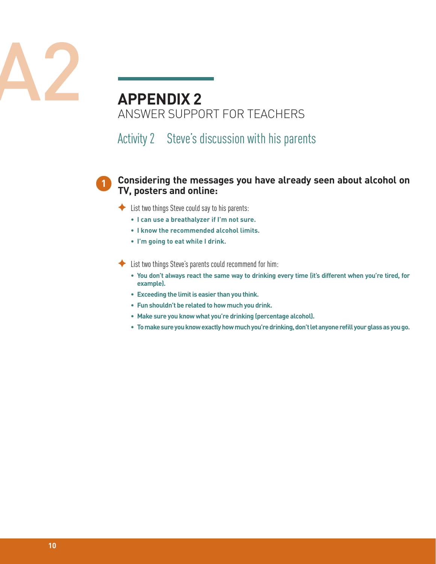

## **APPENDIX 2** ANSWER SUPPORT FOR TEACHERS

Activity 2 Steve's discussion with his parents

#### **Considering the messages you have already seen about alcohol on TV, posters and online:**

 $\blacklozenge$  List two things Steve could say to his parents:

**1**

- **• I can use a breathalyzer if I'm not sure.**
- **• I know the recommended alcohol limits.**
- **• I'm going to eat while I drink.**

 $\blacklozenge$  List two things Steve's parents could recommend for him:

- **• You don't always react the same way to drinking every time (it's different when you're tired, for example).**
- **• Exceeding the limit is easier than you think.**
- **• Fun shouldn't be related to how much you drink.**
- **• Make sure you know what you're drinking (percentage alcohol).**
- **• To make sure you know exactly how much you're drinking, don't let anyone refill your glass as you go.**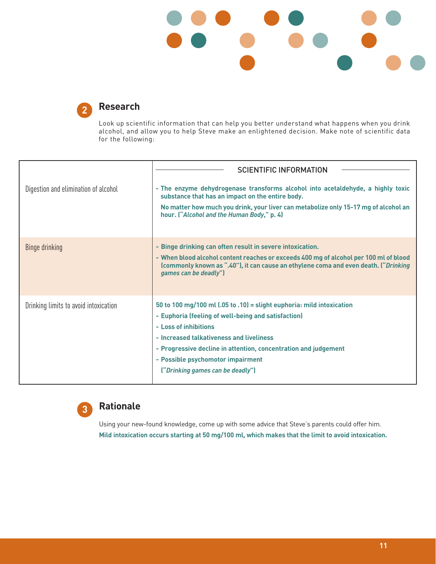



#### **Research**

Look up scientific information that can help you better understand what happens when you drink alcohol, and allow you to help Steve make an enlightened decision. Make note of scientific data for the following:

|                                       | <b>SCIENTIFIC INFORMATION</b>                                                                                                                                                                                                                                                                                                                 |  |
|---------------------------------------|-----------------------------------------------------------------------------------------------------------------------------------------------------------------------------------------------------------------------------------------------------------------------------------------------------------------------------------------------|--|
| Digestion and elimination of alcohol  | - The enzyme dehydrogenase transforms alcohol into acetaldehyde, a highly toxic<br>substance that has an impact on the entire body.<br>No matter how much you drink, your liver can metabolize only 15-17 mg of alcohol an<br>hour. ("Alcohol and the Human Body," p. 4)                                                                      |  |
| Binge drinking                        | - Binge drinking can often result in severe intoxication.<br>- When blood alcohol content reaches or exceeds 400 mg of alcohol per 100 ml of blood<br>(commonly known as ".40"), it can cause an ethylene coma and even death. ("Drinking<br>games can be deadly")                                                                            |  |
| Drinking limits to avoid intoxication | 50 to 100 mg/100 ml (.05 to .10) = slight euphoria: mild intoxication<br>- Euphoria (feeling of well-being and satisfaction)<br>- Loss of inhibitions<br>- Increased talkativeness and liveliness<br>- Progressive decline in attention, concentration and judgement<br>- Possible psychomotor impairment<br>("Drinking games can be deadly") |  |



## **Rationale**

Using your new-found knowledge, come up with some advice that Steve's parents could offer him. **Mild intoxication occurs starting at 50 mg/100 ml, which makes that the limit to avoid intoxication.**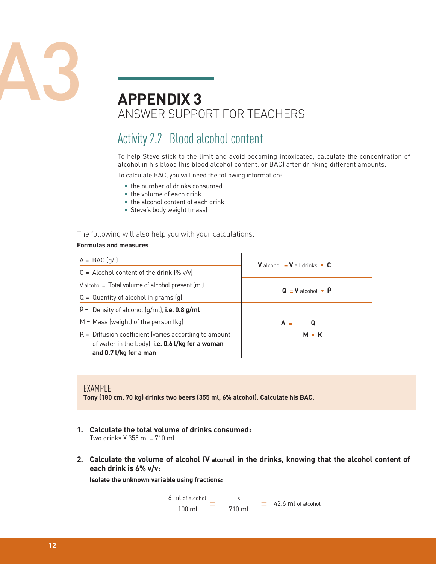

## **APPENDIX 3** ANSWER SUPPORT FOR TEACHERS

## Activity 2.2 Blood alcohol content

To help Steve stick to the limit and avoid becoming intoxicated, calculate the concentration of alcohol in his blood (his blood alcohol content, or BAC) after drinking different amounts.

To calculate BAC, you will need the following information:

- the number of drinks consumed
- the volume of each drink
- the alcohol content of each drink
- Steve's body weight (mass)

The following will also help you with your calculations.

#### **Formulas and measures**

| $A = BAC(q/l)$                                                                                                                       | <b>V</b> alcohol $=$ <b>V</b> all drinks $\bullet$ <b>C</b> |  |
|--------------------------------------------------------------------------------------------------------------------------------------|-------------------------------------------------------------|--|
| $C =$ Alcohol content of the drink $(\% \text{ v/v})$                                                                                |                                                             |  |
| $\sqrt{\ }$ V alcohol = Total volume of alcohol present (ml)                                                                         | $Q = V$ alcohol • $P$                                       |  |
| $Q =$ Quantity of alcohol in grams $(q)$                                                                                             |                                                             |  |
| $\vert \rho =$ Density of alcohol (g/ml), i.e. 0.8 g/ml                                                                              |                                                             |  |
| $M =$ Mass (weight) of the person (kg)                                                                                               | $A =$<br>Q                                                  |  |
| $K =$ Diffusion coefficient (varies according to amount<br>of water in the body) i.e. 0.6 l/kg for a woman<br>and 0.7 l/kg for a man | <b>M</b> • K                                                |  |

#### EXAMPLE

**Tony (180 cm, 70 kg) drinks two beers (355 ml, 6% alcohol). Calculate his BAC.**

- **1. Calculate the total volume of drinks consumed:** Two drinks X 355 ml = 710 ml
- **2. Calculate the volume of alcohol (V alcohol) in the drinks, knowing that the alcohol content of each drink is 6% v/v:**

**Isolate the unknown variable using fractions:**

$$
\frac{6 \text{ ml of alcohol}}{100 \text{ ml}} = \frac{x}{710 \text{ ml}} = 42.6 \text{ ml of alcohol}
$$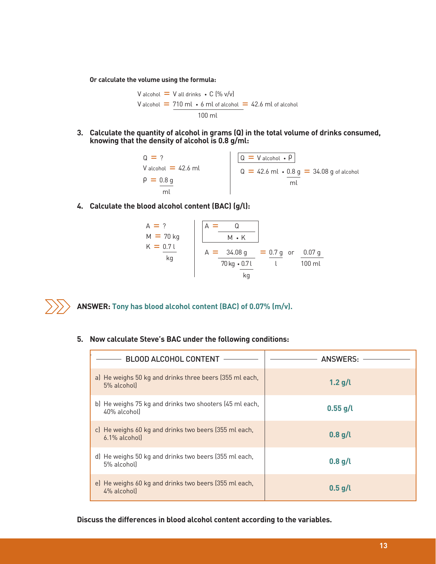**Or calculate the volume using the formula:**

 $V$  alcohol  $=$   $V$  all drinks  $\, \cdot \,$  C (% v/v) V alcohol  $= 710$  ml  $\cdot$  6 ml of alcohol  $= 42.6$  ml of alcohol 100 ml

**3. Calculate the quantity of alcohol in grams (Q) in the total volume of drinks consumed, knowing that the density of alcohol is 0.8 g/ml:**



**4. Calculate the blood alcohol content (BAC) (g/l):**

$$
A = ?
$$
\n
$$
M = 70 \text{ kg}
$$
\n
$$
K = \frac{0.71}{\text{ kg}}
$$
\n
$$
A = \frac{34.08 \text{ g}}{70 \text{ kg} \cdot \frac{0.71}{100 \text{ m}}
$$
\n
$$
A = \frac{34.08 \text{ g}}{70 \text{ kg} \cdot \frac{0.71}{100 \text{ m}}
$$



**ANSWER: Tony has blood alcohol content (BAC) of 0.07% (m/v).**

**5. Now calculate Steve's BAC under the following conditions:**

| <b>BLOOD ALCOHOL CONTENT</b>                                            | ANSWERS:   |
|-------------------------------------------------------------------------|------------|
| a) He weighs 50 kg and drinks three beers (355 ml each,<br>5% alcohol)  | $1.2$ g/l  |
| b) He weighs 75 kg and drinks two shooters (45 ml each,<br>40% alcohol) | $0.55$ g/l |
| c) He weighs 60 kg and drinks two beers (355 ml each,<br>6.1% alcohol)  | $0.8$ g/l  |
| d) He weighs 50 kg and drinks two beers (355 ml each,<br>5% alcohol)    | $0.8$ g/l  |
| e) He weighs 60 kg and drinks two beers (355 ml each,<br>4% alcoholl    | $0.5$ g/l  |

**Discuss the differences in blood alcohol content according to the variables.**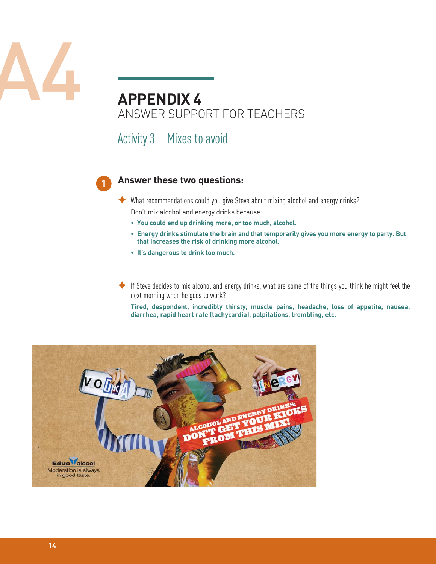

## ANSWER SUPPORT FOR TEACHERS

Activity 3 Mixes to avoid



#### **Answer these two questions:**

 $\blacklozenge$  What recommendations could you give Steve about mixing alcohol and energy drinks? Don't mix alcohol and energy drinks because:

- **You could end up drinking more, or too much, alcohol.**
- **• Energy drinks stimulate the brain and that temporarily gives you more energy to party. But that increases the risk of drinking more alcohol.**
- **• It's dangerous to drink too much.**
- $\blacklozenge$  If Steve decides to mix alcohol and energy drinks, what are some of the things you think he might feel the next morning when he goes to work?

 **Tired, despondent, incredibly thirsty, muscle pains, headache, loss of appetite, nausea, diarrhea, rapid heart rate (tachycardia), palpitations, trembling, etc.**